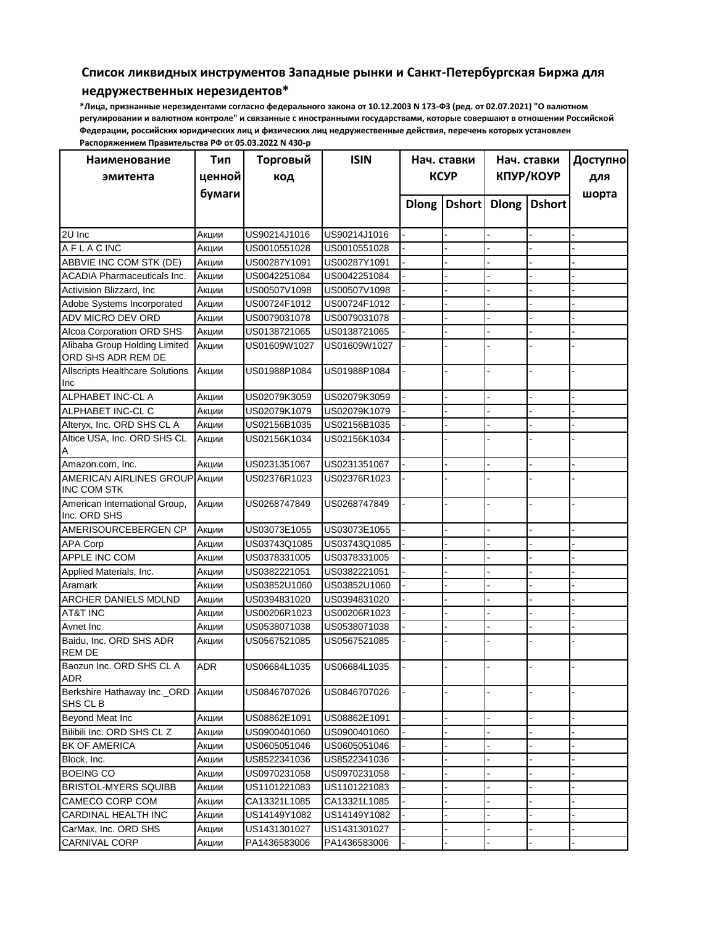## Список ликвидных инструментов Западные рынки и Санкт-Петербургская Биржа для

## недружественных нерезидентов\*

\*Лица, признанные нерезидентами согласно федерального закона от 10.12.2003 N 173-ФЗ (ред. от 02.07.2021) "О валютном регулировании и валютном контроле" и связанные с иностранными государствами, которые совершают в отношении Российской Федерации, российских юридических лиц и физических лиц недружественные действия, перечень которых установлен Распоряжением Правительства РФ от 05.03.2022 N 430-р

| Наименование                                  | Тип        | Торговый     | <b>ISIN</b>  | Нач. ставки  |               | Нач. ставки  |               | Доступно |
|-----------------------------------------------|------------|--------------|--------------|--------------|---------------|--------------|---------------|----------|
| эмитента                                      | ценной     | код          |              | <b>KCYP</b>  |               | КПУР/КОУР    |               | для      |
|                                               | бумаги     |              |              |              |               |              |               |          |
|                                               |            |              |              | <b>Dlong</b> | <b>Dshort</b> | <b>Dlong</b> | <b>Dshort</b> | шорта    |
|                                               |            |              |              |              |               |              |               |          |
| 2U Inc                                        | Акции      | US90214J1016 | US90214J1016 |              |               |              |               |          |
| AFLACINC                                      | Акции      | US0010551028 | US0010551028 |              |               |              |               |          |
| ABBVIE INC COM STK (DE)                       | Акции      | US00287Y1091 | US00287Y1091 |              |               |              |               |          |
| <b>ACADIA Pharmaceuticals Inc.</b>            | Акции      | US0042251084 | US0042251084 |              |               |              |               |          |
| Activision Blizzard, Inc                      | Акции      | US00507V1098 | US00507V1098 |              |               |              |               |          |
| Adobe Systems Incorporated                    | Акции      | US00724F1012 | US00724F1012 |              |               |              |               |          |
| ADV MICRO DEV ORD                             | Акции      | US0079031078 | US0079031078 |              |               |              |               |          |
| Alcoa Corporation ORD SHS                     | Акции      | US0138721065 | US0138721065 |              |               |              |               |          |
| Alibaba Group Holding Limited                 | Акции      | US01609W1027 | US01609W1027 |              |               |              |               |          |
| ORD SHS ADR REM DE                            |            |              |              |              |               |              |               |          |
| <b>Allscripts Healthcare Solutions</b><br>Inc | Акции      | US01988P1084 | US01988P1084 |              |               |              |               |          |
| ALPHABET INC-CL A                             | Акции      | US02079K3059 | US02079K3059 |              |               |              |               |          |
| ALPHABET INC-CL C                             | Акции      | US02079K1079 | US02079K1079 |              |               |              |               |          |
| Alteryx, Inc. ORD SHS CL A                    | Акции      | US02156B1035 | US02156B1035 |              |               |              |               |          |
| Altice USA, Inc. ORD SHS CL                   | Акции      | US02156K1034 | US02156K1034 |              |               |              |               |          |
| Α                                             |            |              |              |              |               |              |               |          |
| Amazon.com, Inc.                              | Акции      | US0231351067 | US0231351067 |              |               |              |               |          |
| <b>AMERICAN AIRLINES GROUP AKLUM</b>          |            | US02376R1023 | US02376R1023 |              |               |              |               |          |
| <b>INC COM STK</b>                            |            |              |              |              |               |              |               |          |
| American International Group,                 | Акции      | US0268747849 | US0268747849 |              |               |              |               |          |
| Inc. ORD SHS                                  |            |              |              |              |               |              |               |          |
| AMERISOURCEBERGEN CP                          | Акции      | US03073E1055 | US03073E1055 |              |               |              |               |          |
| <b>APA Corp</b>                               | Акции      | US03743Q1085 | US03743Q1085 |              |               |              |               |          |
| APPLE INC COM                                 | Акции      | US0378331005 | US0378331005 |              |               |              |               |          |
| Applied Materials, Inc.                       | Акции      | US0382221051 | US0382221051 |              |               |              |               |          |
| Aramark                                       | Акции      | US03852U1060 | US03852U1060 |              |               |              |               |          |
| ARCHER DANIELS MDLND                          | Акции      | US0394831020 | US0394831020 |              |               |              |               |          |
| <b>AT&amp;T INC</b>                           | Акции      | US00206R1023 | US00206R1023 |              |               |              |               |          |
| Avnet Inc                                     | Акции      | US0538071038 | US0538071038 |              |               |              |               |          |
| Baidu, Inc. ORD SHS ADR<br><b>REM DE</b>      | Акции      | US0567521085 | US0567521085 |              |               |              |               |          |
| Baozun Inc. ORD SHS CL A<br><b>ADR</b>        | <b>ADR</b> | US06684L1035 | US06684L1035 |              |               |              |               |          |
| Berkshire Hathaway Inc._ORD                   | Акции      | US0846707026 | US0846707026 |              |               |              |               |          |
| SHS CL B                                      |            |              |              |              |               |              |               |          |
| Beyond Meat Inc                               | Акции      | US08862E1091 | US08862E1091 |              |               |              |               |          |
| Bilibili Inc. ORD SHS CL Z                    | Акции      | US0900401060 | US0900401060 |              |               |              |               |          |
| <b>BK OF AMERICA</b>                          | Акции      | US0605051046 | US0605051046 |              |               |              |               |          |
| Block, Inc.                                   | Акции      | US8522341036 | US8522341036 |              |               |              |               |          |
| <b>BOEING CO</b>                              | Акции      | US0970231058 | US0970231058 |              |               |              |               |          |
| <b>BRISTOL-MYERS SQUIBB</b>                   | Акции      | US1101221083 | US1101221083 |              |               |              |               |          |
| CAMECO CORP COM                               | Акции      | CA13321L1085 | CA13321L1085 |              |               |              |               |          |
| CARDINAL HEALTH INC                           | Акции      | US14149Y1082 | US14149Y1082 |              |               |              |               |          |
| CarMax, Inc. ORD SHS                          | Акции      | US1431301027 | US1431301027 |              |               |              |               |          |
| CARNIVAL CORP                                 | Акции      | PA1436583006 | PA1436583006 |              |               |              |               |          |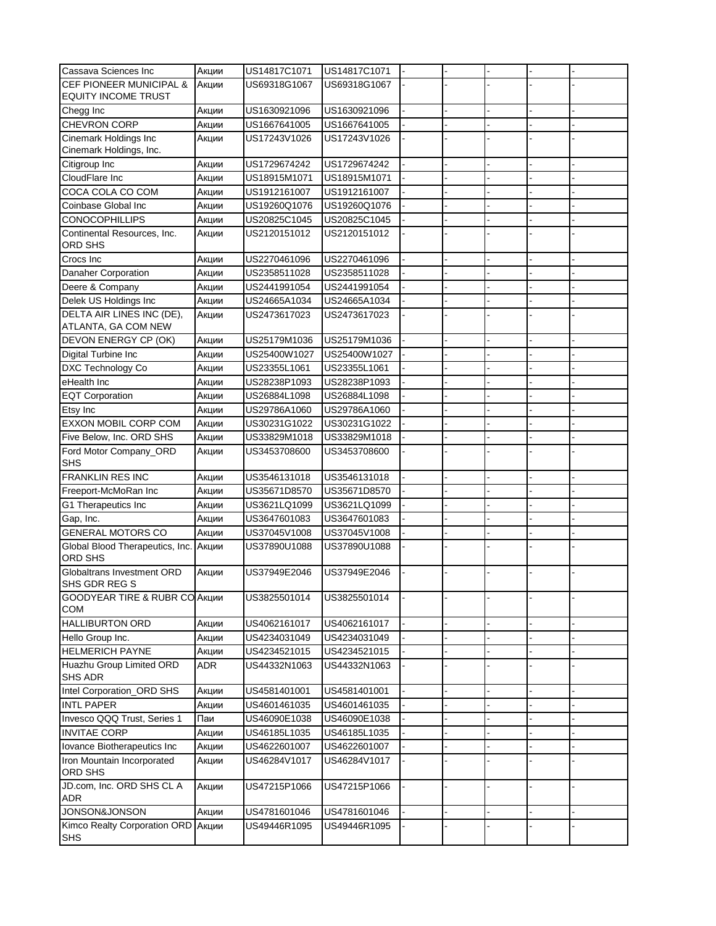| CEF PIONEER MUNICIPAL &<br>Акции<br>US69318G1067<br>US69318G1067<br><b>EQUITY INCOME TRUST</b><br>US1630921096<br>US1630921096<br>Chegg Inc<br>Акции<br>CHEVRON CORP<br>US1667641005<br>US1667641005<br>Акции<br>Cinemark Holdings Inc<br>US17243V1026<br>US17243V1026<br>Акции<br>Cinemark Holdings, Inc.<br>Citigroup Inc<br>Акции<br>US1729674242<br>US1729674242<br>CloudFlare Inc<br>Акции<br>US18915M1071<br>US18915M1071<br>COCA COLA CO COM<br>Акции<br>US1912161007<br>US1912161007<br>Coinbase Global Inc<br>Акции<br>US19260Q1076<br>US19260Q1076<br><b>CONOCOPHILLIPS</b><br>US20825C1045<br>US20825C1045<br>Акции<br>Continental Resources, Inc.<br>US2120151012<br>US2120151012<br>Акции<br>ORD SHS<br>US2270461096<br>Crocs Inc<br>Акции<br>US2270461096<br>Danaher Corporation<br>Акции<br>US2358511028<br>US2358511028<br>Deere & Company<br>Акции<br>US2441991054<br>US2441991054<br>Delek US Holdings Inc<br>US24665A1034<br>US24665A1034<br>Акции<br>DELTA AIR LINES INC (DE),<br>Акции<br>US2473617023<br>US2473617023<br>ATLANTA, GA COM NEW<br>DEVON ENERGY CP (OK)<br>US25179M1036<br>US25179M1036<br>Акции<br>US25400W1027<br>US25400W1027<br>Digital Turbine Inc<br>Акции<br>DXC Technology Co<br>Акции<br>US23355L1061<br>US23355L1061<br>eHealth Inc<br>Акции<br>US28238P1093<br>US28238P1093<br><b>EQT Corporation</b><br>Акции<br>US26884L1098<br>US26884L1098<br>Etsy Inc<br>Акции<br>US29786A1060<br>US29786A1060<br><b>EXXON MOBIL CORP COM</b><br>Акции<br>US30231G1022<br>US30231G1022<br>Five Below, Inc. ORD SHS<br>Акции<br>US33829M1018<br>US33829M1018<br>Ford Motor Company_ORD<br>US3453708600<br>US3453708600<br>Акции<br><b>SHS</b><br><b>FRANKLIN RES INC</b><br>US3546131018<br>Акции<br>US3546131018<br>US35671D8570<br>Freeport-McMoRan Inc<br>US35671D8570<br>Акции<br>G1 Therapeutics Inc<br>US3621LQ1099<br>US3621LQ1099<br>Акции<br>US3647601083<br>US3647601083<br>Gap, Inc.<br>Акции<br><b>GENERAL MOTORS CO</b><br>US37045V1008<br>Акции<br>US37045V1008<br>Global Blood Therapeutics, Inc. Акции<br>US37890U1088<br>US37890U1088<br><b>ORD SHS</b><br>Globaltrans Investment ORD<br>Акции<br>US37949E2046<br>US37949E2046<br>SHS GDR REG S<br>GOODYEAR TIRE & RUBR CO AKLUMM<br>US3825501014<br>US3825501014<br><b>COM</b><br><b>HALLIBURTON ORD</b><br>Акции<br>US4062161017<br>US4062161017<br>Hello Group Inc.<br>US4234031049<br>US4234031049<br>Акции<br><b>HELMERICH PAYNE</b><br>Акции<br>US4234521015<br>US4234521015<br>Huazhu Group Limited ORD<br>ADR<br>US44332N1063<br>US44332N1063<br>SHS ADR<br>Intel Corporation_ORD SHS<br>US4581401001<br>US4581401001<br>Акции<br><b>INTL PAPER</b><br>US4601461035<br>US4601461035<br>Акции<br>Паи<br>US46090E1038<br>US46090E1038<br>Invesco QQQ Trust, Series 1<br><b>INVITAE CORP</b><br>US46185L1035<br>US46185L1035<br>Акции<br>Акции<br>Iovance Biotherapeutics Inc<br>US4622601007<br>US4622601007<br>Iron Mountain Incorporated<br>Акции<br>US46284V1017<br>US46284V1017<br>ORD SHS<br>JD.com, Inc. ORD SHS CL A<br>Акции<br>US47215P1066<br>US47215P1066<br>ADR.<br>JONSON&JONSON<br>Акции<br>US4781601046<br>US4781601046<br>Kimco Realty Corporation ORD<br>Акции<br>US49446R1095<br>US49446R1095 | Cassava Sciences Inc | Акции | US14817C1071 | US14817C1071 |  |  |  |
|--------------------------------------------------------------------------------------------------------------------------------------------------------------------------------------------------------------------------------------------------------------------------------------------------------------------------------------------------------------------------------------------------------------------------------------------------------------------------------------------------------------------------------------------------------------------------------------------------------------------------------------------------------------------------------------------------------------------------------------------------------------------------------------------------------------------------------------------------------------------------------------------------------------------------------------------------------------------------------------------------------------------------------------------------------------------------------------------------------------------------------------------------------------------------------------------------------------------------------------------------------------------------------------------------------------------------------------------------------------------------------------------------------------------------------------------------------------------------------------------------------------------------------------------------------------------------------------------------------------------------------------------------------------------------------------------------------------------------------------------------------------------------------------------------------------------------------------------------------------------------------------------------------------------------------------------------------------------------------------------------------------------------------------------------------------------------------------------------------------------------------------------------------------------------------------------------------------------------------------------------------------------------------------------------------------------------------------------------------------------------------------------------------------------------------------------------------------------------------------------------------------------------------------------------------------------------------------------------------------------------------------------------------------------------------------------------------------------------------------------------------------------------------------------------------------------------------------------------------------------------------------------------------------------------------------------------------------------------------------------------------------------------------------------------------------------------------------------------------------------------------------------------------------------------------------------------------------------------|----------------------|-------|--------------|--------------|--|--|--|
|                                                                                                                                                                                                                                                                                                                                                                                                                                                                                                                                                                                                                                                                                                                                                                                                                                                                                                                                                                                                                                                                                                                                                                                                                                                                                                                                                                                                                                                                                                                                                                                                                                                                                                                                                                                                                                                                                                                                                                                                                                                                                                                                                                                                                                                                                                                                                                                                                                                                                                                                                                                                                                                                                                                                                                                                                                                                                                                                                                                                                                                                                                                                                                                                                          |                      |       |              |              |  |  |  |
|                                                                                                                                                                                                                                                                                                                                                                                                                                                                                                                                                                                                                                                                                                                                                                                                                                                                                                                                                                                                                                                                                                                                                                                                                                                                                                                                                                                                                                                                                                                                                                                                                                                                                                                                                                                                                                                                                                                                                                                                                                                                                                                                                                                                                                                                                                                                                                                                                                                                                                                                                                                                                                                                                                                                                                                                                                                                                                                                                                                                                                                                                                                                                                                                                          |                      |       |              |              |  |  |  |
|                                                                                                                                                                                                                                                                                                                                                                                                                                                                                                                                                                                                                                                                                                                                                                                                                                                                                                                                                                                                                                                                                                                                                                                                                                                                                                                                                                                                                                                                                                                                                                                                                                                                                                                                                                                                                                                                                                                                                                                                                                                                                                                                                                                                                                                                                                                                                                                                                                                                                                                                                                                                                                                                                                                                                                                                                                                                                                                                                                                                                                                                                                                                                                                                                          |                      |       |              |              |  |  |  |
|                                                                                                                                                                                                                                                                                                                                                                                                                                                                                                                                                                                                                                                                                                                                                                                                                                                                                                                                                                                                                                                                                                                                                                                                                                                                                                                                                                                                                                                                                                                                                                                                                                                                                                                                                                                                                                                                                                                                                                                                                                                                                                                                                                                                                                                                                                                                                                                                                                                                                                                                                                                                                                                                                                                                                                                                                                                                                                                                                                                                                                                                                                                                                                                                                          |                      |       |              |              |  |  |  |
|                                                                                                                                                                                                                                                                                                                                                                                                                                                                                                                                                                                                                                                                                                                                                                                                                                                                                                                                                                                                                                                                                                                                                                                                                                                                                                                                                                                                                                                                                                                                                                                                                                                                                                                                                                                                                                                                                                                                                                                                                                                                                                                                                                                                                                                                                                                                                                                                                                                                                                                                                                                                                                                                                                                                                                                                                                                                                                                                                                                                                                                                                                                                                                                                                          |                      |       |              |              |  |  |  |
|                                                                                                                                                                                                                                                                                                                                                                                                                                                                                                                                                                                                                                                                                                                                                                                                                                                                                                                                                                                                                                                                                                                                                                                                                                                                                                                                                                                                                                                                                                                                                                                                                                                                                                                                                                                                                                                                                                                                                                                                                                                                                                                                                                                                                                                                                                                                                                                                                                                                                                                                                                                                                                                                                                                                                                                                                                                                                                                                                                                                                                                                                                                                                                                                                          |                      |       |              |              |  |  |  |
|                                                                                                                                                                                                                                                                                                                                                                                                                                                                                                                                                                                                                                                                                                                                                                                                                                                                                                                                                                                                                                                                                                                                                                                                                                                                                                                                                                                                                                                                                                                                                                                                                                                                                                                                                                                                                                                                                                                                                                                                                                                                                                                                                                                                                                                                                                                                                                                                                                                                                                                                                                                                                                                                                                                                                                                                                                                                                                                                                                                                                                                                                                                                                                                                                          |                      |       |              |              |  |  |  |
|                                                                                                                                                                                                                                                                                                                                                                                                                                                                                                                                                                                                                                                                                                                                                                                                                                                                                                                                                                                                                                                                                                                                                                                                                                                                                                                                                                                                                                                                                                                                                                                                                                                                                                                                                                                                                                                                                                                                                                                                                                                                                                                                                                                                                                                                                                                                                                                                                                                                                                                                                                                                                                                                                                                                                                                                                                                                                                                                                                                                                                                                                                                                                                                                                          |                      |       |              |              |  |  |  |
|                                                                                                                                                                                                                                                                                                                                                                                                                                                                                                                                                                                                                                                                                                                                                                                                                                                                                                                                                                                                                                                                                                                                                                                                                                                                                                                                                                                                                                                                                                                                                                                                                                                                                                                                                                                                                                                                                                                                                                                                                                                                                                                                                                                                                                                                                                                                                                                                                                                                                                                                                                                                                                                                                                                                                                                                                                                                                                                                                                                                                                                                                                                                                                                                                          |                      |       |              |              |  |  |  |
|                                                                                                                                                                                                                                                                                                                                                                                                                                                                                                                                                                                                                                                                                                                                                                                                                                                                                                                                                                                                                                                                                                                                                                                                                                                                                                                                                                                                                                                                                                                                                                                                                                                                                                                                                                                                                                                                                                                                                                                                                                                                                                                                                                                                                                                                                                                                                                                                                                                                                                                                                                                                                                                                                                                                                                                                                                                                                                                                                                                                                                                                                                                                                                                                                          |                      |       |              |              |  |  |  |
|                                                                                                                                                                                                                                                                                                                                                                                                                                                                                                                                                                                                                                                                                                                                                                                                                                                                                                                                                                                                                                                                                                                                                                                                                                                                                                                                                                                                                                                                                                                                                                                                                                                                                                                                                                                                                                                                                                                                                                                                                                                                                                                                                                                                                                                                                                                                                                                                                                                                                                                                                                                                                                                                                                                                                                                                                                                                                                                                                                                                                                                                                                                                                                                                                          |                      |       |              |              |  |  |  |
|                                                                                                                                                                                                                                                                                                                                                                                                                                                                                                                                                                                                                                                                                                                                                                                                                                                                                                                                                                                                                                                                                                                                                                                                                                                                                                                                                                                                                                                                                                                                                                                                                                                                                                                                                                                                                                                                                                                                                                                                                                                                                                                                                                                                                                                                                                                                                                                                                                                                                                                                                                                                                                                                                                                                                                                                                                                                                                                                                                                                                                                                                                                                                                                                                          |                      |       |              |              |  |  |  |
|                                                                                                                                                                                                                                                                                                                                                                                                                                                                                                                                                                                                                                                                                                                                                                                                                                                                                                                                                                                                                                                                                                                                                                                                                                                                                                                                                                                                                                                                                                                                                                                                                                                                                                                                                                                                                                                                                                                                                                                                                                                                                                                                                                                                                                                                                                                                                                                                                                                                                                                                                                                                                                                                                                                                                                                                                                                                                                                                                                                                                                                                                                                                                                                                                          |                      |       |              |              |  |  |  |
|                                                                                                                                                                                                                                                                                                                                                                                                                                                                                                                                                                                                                                                                                                                                                                                                                                                                                                                                                                                                                                                                                                                                                                                                                                                                                                                                                                                                                                                                                                                                                                                                                                                                                                                                                                                                                                                                                                                                                                                                                                                                                                                                                                                                                                                                                                                                                                                                                                                                                                                                                                                                                                                                                                                                                                                                                                                                                                                                                                                                                                                                                                                                                                                                                          |                      |       |              |              |  |  |  |
|                                                                                                                                                                                                                                                                                                                                                                                                                                                                                                                                                                                                                                                                                                                                                                                                                                                                                                                                                                                                                                                                                                                                                                                                                                                                                                                                                                                                                                                                                                                                                                                                                                                                                                                                                                                                                                                                                                                                                                                                                                                                                                                                                                                                                                                                                                                                                                                                                                                                                                                                                                                                                                                                                                                                                                                                                                                                                                                                                                                                                                                                                                                                                                                                                          |                      |       |              |              |  |  |  |
|                                                                                                                                                                                                                                                                                                                                                                                                                                                                                                                                                                                                                                                                                                                                                                                                                                                                                                                                                                                                                                                                                                                                                                                                                                                                                                                                                                                                                                                                                                                                                                                                                                                                                                                                                                                                                                                                                                                                                                                                                                                                                                                                                                                                                                                                                                                                                                                                                                                                                                                                                                                                                                                                                                                                                                                                                                                                                                                                                                                                                                                                                                                                                                                                                          |                      |       |              |              |  |  |  |
|                                                                                                                                                                                                                                                                                                                                                                                                                                                                                                                                                                                                                                                                                                                                                                                                                                                                                                                                                                                                                                                                                                                                                                                                                                                                                                                                                                                                                                                                                                                                                                                                                                                                                                                                                                                                                                                                                                                                                                                                                                                                                                                                                                                                                                                                                                                                                                                                                                                                                                                                                                                                                                                                                                                                                                                                                                                                                                                                                                                                                                                                                                                                                                                                                          |                      |       |              |              |  |  |  |
|                                                                                                                                                                                                                                                                                                                                                                                                                                                                                                                                                                                                                                                                                                                                                                                                                                                                                                                                                                                                                                                                                                                                                                                                                                                                                                                                                                                                                                                                                                                                                                                                                                                                                                                                                                                                                                                                                                                                                                                                                                                                                                                                                                                                                                                                                                                                                                                                                                                                                                                                                                                                                                                                                                                                                                                                                                                                                                                                                                                                                                                                                                                                                                                                                          |                      |       |              |              |  |  |  |
|                                                                                                                                                                                                                                                                                                                                                                                                                                                                                                                                                                                                                                                                                                                                                                                                                                                                                                                                                                                                                                                                                                                                                                                                                                                                                                                                                                                                                                                                                                                                                                                                                                                                                                                                                                                                                                                                                                                                                                                                                                                                                                                                                                                                                                                                                                                                                                                                                                                                                                                                                                                                                                                                                                                                                                                                                                                                                                                                                                                                                                                                                                                                                                                                                          |                      |       |              |              |  |  |  |
|                                                                                                                                                                                                                                                                                                                                                                                                                                                                                                                                                                                                                                                                                                                                                                                                                                                                                                                                                                                                                                                                                                                                                                                                                                                                                                                                                                                                                                                                                                                                                                                                                                                                                                                                                                                                                                                                                                                                                                                                                                                                                                                                                                                                                                                                                                                                                                                                                                                                                                                                                                                                                                                                                                                                                                                                                                                                                                                                                                                                                                                                                                                                                                                                                          |                      |       |              |              |  |  |  |
|                                                                                                                                                                                                                                                                                                                                                                                                                                                                                                                                                                                                                                                                                                                                                                                                                                                                                                                                                                                                                                                                                                                                                                                                                                                                                                                                                                                                                                                                                                                                                                                                                                                                                                                                                                                                                                                                                                                                                                                                                                                                                                                                                                                                                                                                                                                                                                                                                                                                                                                                                                                                                                                                                                                                                                                                                                                                                                                                                                                                                                                                                                                                                                                                                          |                      |       |              |              |  |  |  |
|                                                                                                                                                                                                                                                                                                                                                                                                                                                                                                                                                                                                                                                                                                                                                                                                                                                                                                                                                                                                                                                                                                                                                                                                                                                                                                                                                                                                                                                                                                                                                                                                                                                                                                                                                                                                                                                                                                                                                                                                                                                                                                                                                                                                                                                                                                                                                                                                                                                                                                                                                                                                                                                                                                                                                                                                                                                                                                                                                                                                                                                                                                                                                                                                                          |                      |       |              |              |  |  |  |
|                                                                                                                                                                                                                                                                                                                                                                                                                                                                                                                                                                                                                                                                                                                                                                                                                                                                                                                                                                                                                                                                                                                                                                                                                                                                                                                                                                                                                                                                                                                                                                                                                                                                                                                                                                                                                                                                                                                                                                                                                                                                                                                                                                                                                                                                                                                                                                                                                                                                                                                                                                                                                                                                                                                                                                                                                                                                                                                                                                                                                                                                                                                                                                                                                          |                      |       |              |              |  |  |  |
|                                                                                                                                                                                                                                                                                                                                                                                                                                                                                                                                                                                                                                                                                                                                                                                                                                                                                                                                                                                                                                                                                                                                                                                                                                                                                                                                                                                                                                                                                                                                                                                                                                                                                                                                                                                                                                                                                                                                                                                                                                                                                                                                                                                                                                                                                                                                                                                                                                                                                                                                                                                                                                                                                                                                                                                                                                                                                                                                                                                                                                                                                                                                                                                                                          |                      |       |              |              |  |  |  |
|                                                                                                                                                                                                                                                                                                                                                                                                                                                                                                                                                                                                                                                                                                                                                                                                                                                                                                                                                                                                                                                                                                                                                                                                                                                                                                                                                                                                                                                                                                                                                                                                                                                                                                                                                                                                                                                                                                                                                                                                                                                                                                                                                                                                                                                                                                                                                                                                                                                                                                                                                                                                                                                                                                                                                                                                                                                                                                                                                                                                                                                                                                                                                                                                                          |                      |       |              |              |  |  |  |
|                                                                                                                                                                                                                                                                                                                                                                                                                                                                                                                                                                                                                                                                                                                                                                                                                                                                                                                                                                                                                                                                                                                                                                                                                                                                                                                                                                                                                                                                                                                                                                                                                                                                                                                                                                                                                                                                                                                                                                                                                                                                                                                                                                                                                                                                                                                                                                                                                                                                                                                                                                                                                                                                                                                                                                                                                                                                                                                                                                                                                                                                                                                                                                                                                          |                      |       |              |              |  |  |  |
|                                                                                                                                                                                                                                                                                                                                                                                                                                                                                                                                                                                                                                                                                                                                                                                                                                                                                                                                                                                                                                                                                                                                                                                                                                                                                                                                                                                                                                                                                                                                                                                                                                                                                                                                                                                                                                                                                                                                                                                                                                                                                                                                                                                                                                                                                                                                                                                                                                                                                                                                                                                                                                                                                                                                                                                                                                                                                                                                                                                                                                                                                                                                                                                                                          |                      |       |              |              |  |  |  |
|                                                                                                                                                                                                                                                                                                                                                                                                                                                                                                                                                                                                                                                                                                                                                                                                                                                                                                                                                                                                                                                                                                                                                                                                                                                                                                                                                                                                                                                                                                                                                                                                                                                                                                                                                                                                                                                                                                                                                                                                                                                                                                                                                                                                                                                                                                                                                                                                                                                                                                                                                                                                                                                                                                                                                                                                                                                                                                                                                                                                                                                                                                                                                                                                                          |                      |       |              |              |  |  |  |
|                                                                                                                                                                                                                                                                                                                                                                                                                                                                                                                                                                                                                                                                                                                                                                                                                                                                                                                                                                                                                                                                                                                                                                                                                                                                                                                                                                                                                                                                                                                                                                                                                                                                                                                                                                                                                                                                                                                                                                                                                                                                                                                                                                                                                                                                                                                                                                                                                                                                                                                                                                                                                                                                                                                                                                                                                                                                                                                                                                                                                                                                                                                                                                                                                          |                      |       |              |              |  |  |  |
|                                                                                                                                                                                                                                                                                                                                                                                                                                                                                                                                                                                                                                                                                                                                                                                                                                                                                                                                                                                                                                                                                                                                                                                                                                                                                                                                                                                                                                                                                                                                                                                                                                                                                                                                                                                                                                                                                                                                                                                                                                                                                                                                                                                                                                                                                                                                                                                                                                                                                                                                                                                                                                                                                                                                                                                                                                                                                                                                                                                                                                                                                                                                                                                                                          |                      |       |              |              |  |  |  |
|                                                                                                                                                                                                                                                                                                                                                                                                                                                                                                                                                                                                                                                                                                                                                                                                                                                                                                                                                                                                                                                                                                                                                                                                                                                                                                                                                                                                                                                                                                                                                                                                                                                                                                                                                                                                                                                                                                                                                                                                                                                                                                                                                                                                                                                                                                                                                                                                                                                                                                                                                                                                                                                                                                                                                                                                                                                                                                                                                                                                                                                                                                                                                                                                                          |                      |       |              |              |  |  |  |
|                                                                                                                                                                                                                                                                                                                                                                                                                                                                                                                                                                                                                                                                                                                                                                                                                                                                                                                                                                                                                                                                                                                                                                                                                                                                                                                                                                                                                                                                                                                                                                                                                                                                                                                                                                                                                                                                                                                                                                                                                                                                                                                                                                                                                                                                                                                                                                                                                                                                                                                                                                                                                                                                                                                                                                                                                                                                                                                                                                                                                                                                                                                                                                                                                          |                      |       |              |              |  |  |  |
|                                                                                                                                                                                                                                                                                                                                                                                                                                                                                                                                                                                                                                                                                                                                                                                                                                                                                                                                                                                                                                                                                                                                                                                                                                                                                                                                                                                                                                                                                                                                                                                                                                                                                                                                                                                                                                                                                                                                                                                                                                                                                                                                                                                                                                                                                                                                                                                                                                                                                                                                                                                                                                                                                                                                                                                                                                                                                                                                                                                                                                                                                                                                                                                                                          |                      |       |              |              |  |  |  |
|                                                                                                                                                                                                                                                                                                                                                                                                                                                                                                                                                                                                                                                                                                                                                                                                                                                                                                                                                                                                                                                                                                                                                                                                                                                                                                                                                                                                                                                                                                                                                                                                                                                                                                                                                                                                                                                                                                                                                                                                                                                                                                                                                                                                                                                                                                                                                                                                                                                                                                                                                                                                                                                                                                                                                                                                                                                                                                                                                                                                                                                                                                                                                                                                                          |                      |       |              |              |  |  |  |
|                                                                                                                                                                                                                                                                                                                                                                                                                                                                                                                                                                                                                                                                                                                                                                                                                                                                                                                                                                                                                                                                                                                                                                                                                                                                                                                                                                                                                                                                                                                                                                                                                                                                                                                                                                                                                                                                                                                                                                                                                                                                                                                                                                                                                                                                                                                                                                                                                                                                                                                                                                                                                                                                                                                                                                                                                                                                                                                                                                                                                                                                                                                                                                                                                          |                      |       |              |              |  |  |  |
|                                                                                                                                                                                                                                                                                                                                                                                                                                                                                                                                                                                                                                                                                                                                                                                                                                                                                                                                                                                                                                                                                                                                                                                                                                                                                                                                                                                                                                                                                                                                                                                                                                                                                                                                                                                                                                                                                                                                                                                                                                                                                                                                                                                                                                                                                                                                                                                                                                                                                                                                                                                                                                                                                                                                                                                                                                                                                                                                                                                                                                                                                                                                                                                                                          |                      |       |              |              |  |  |  |
|                                                                                                                                                                                                                                                                                                                                                                                                                                                                                                                                                                                                                                                                                                                                                                                                                                                                                                                                                                                                                                                                                                                                                                                                                                                                                                                                                                                                                                                                                                                                                                                                                                                                                                                                                                                                                                                                                                                                                                                                                                                                                                                                                                                                                                                                                                                                                                                                                                                                                                                                                                                                                                                                                                                                                                                                                                                                                                                                                                                                                                                                                                                                                                                                                          |                      |       |              |              |  |  |  |
|                                                                                                                                                                                                                                                                                                                                                                                                                                                                                                                                                                                                                                                                                                                                                                                                                                                                                                                                                                                                                                                                                                                                                                                                                                                                                                                                                                                                                                                                                                                                                                                                                                                                                                                                                                                                                                                                                                                                                                                                                                                                                                                                                                                                                                                                                                                                                                                                                                                                                                                                                                                                                                                                                                                                                                                                                                                                                                                                                                                                                                                                                                                                                                                                                          |                      |       |              |              |  |  |  |
|                                                                                                                                                                                                                                                                                                                                                                                                                                                                                                                                                                                                                                                                                                                                                                                                                                                                                                                                                                                                                                                                                                                                                                                                                                                                                                                                                                                                                                                                                                                                                                                                                                                                                                                                                                                                                                                                                                                                                                                                                                                                                                                                                                                                                                                                                                                                                                                                                                                                                                                                                                                                                                                                                                                                                                                                                                                                                                                                                                                                                                                                                                                                                                                                                          |                      |       |              |              |  |  |  |
|                                                                                                                                                                                                                                                                                                                                                                                                                                                                                                                                                                                                                                                                                                                                                                                                                                                                                                                                                                                                                                                                                                                                                                                                                                                                                                                                                                                                                                                                                                                                                                                                                                                                                                                                                                                                                                                                                                                                                                                                                                                                                                                                                                                                                                                                                                                                                                                                                                                                                                                                                                                                                                                                                                                                                                                                                                                                                                                                                                                                                                                                                                                                                                                                                          |                      |       |              |              |  |  |  |
|                                                                                                                                                                                                                                                                                                                                                                                                                                                                                                                                                                                                                                                                                                                                                                                                                                                                                                                                                                                                                                                                                                                                                                                                                                                                                                                                                                                                                                                                                                                                                                                                                                                                                                                                                                                                                                                                                                                                                                                                                                                                                                                                                                                                                                                                                                                                                                                                                                                                                                                                                                                                                                                                                                                                                                                                                                                                                                                                                                                                                                                                                                                                                                                                                          |                      |       |              |              |  |  |  |
|                                                                                                                                                                                                                                                                                                                                                                                                                                                                                                                                                                                                                                                                                                                                                                                                                                                                                                                                                                                                                                                                                                                                                                                                                                                                                                                                                                                                                                                                                                                                                                                                                                                                                                                                                                                                                                                                                                                                                                                                                                                                                                                                                                                                                                                                                                                                                                                                                                                                                                                                                                                                                                                                                                                                                                                                                                                                                                                                                                                                                                                                                                                                                                                                                          |                      |       |              |              |  |  |  |
|                                                                                                                                                                                                                                                                                                                                                                                                                                                                                                                                                                                                                                                                                                                                                                                                                                                                                                                                                                                                                                                                                                                                                                                                                                                                                                                                                                                                                                                                                                                                                                                                                                                                                                                                                                                                                                                                                                                                                                                                                                                                                                                                                                                                                                                                                                                                                                                                                                                                                                                                                                                                                                                                                                                                                                                                                                                                                                                                                                                                                                                                                                                                                                                                                          |                      |       |              |              |  |  |  |
|                                                                                                                                                                                                                                                                                                                                                                                                                                                                                                                                                                                                                                                                                                                                                                                                                                                                                                                                                                                                                                                                                                                                                                                                                                                                                                                                                                                                                                                                                                                                                                                                                                                                                                                                                                                                                                                                                                                                                                                                                                                                                                                                                                                                                                                                                                                                                                                                                                                                                                                                                                                                                                                                                                                                                                                                                                                                                                                                                                                                                                                                                                                                                                                                                          |                      |       |              |              |  |  |  |
|                                                                                                                                                                                                                                                                                                                                                                                                                                                                                                                                                                                                                                                                                                                                                                                                                                                                                                                                                                                                                                                                                                                                                                                                                                                                                                                                                                                                                                                                                                                                                                                                                                                                                                                                                                                                                                                                                                                                                                                                                                                                                                                                                                                                                                                                                                                                                                                                                                                                                                                                                                                                                                                                                                                                                                                                                                                                                                                                                                                                                                                                                                                                                                                                                          |                      |       |              |              |  |  |  |
|                                                                                                                                                                                                                                                                                                                                                                                                                                                                                                                                                                                                                                                                                                                                                                                                                                                                                                                                                                                                                                                                                                                                                                                                                                                                                                                                                                                                                                                                                                                                                                                                                                                                                                                                                                                                                                                                                                                                                                                                                                                                                                                                                                                                                                                                                                                                                                                                                                                                                                                                                                                                                                                                                                                                                                                                                                                                                                                                                                                                                                                                                                                                                                                                                          |                      |       |              |              |  |  |  |
|                                                                                                                                                                                                                                                                                                                                                                                                                                                                                                                                                                                                                                                                                                                                                                                                                                                                                                                                                                                                                                                                                                                                                                                                                                                                                                                                                                                                                                                                                                                                                                                                                                                                                                                                                                                                                                                                                                                                                                                                                                                                                                                                                                                                                                                                                                                                                                                                                                                                                                                                                                                                                                                                                                                                                                                                                                                                                                                                                                                                                                                                                                                                                                                                                          |                      |       |              |              |  |  |  |
|                                                                                                                                                                                                                                                                                                                                                                                                                                                                                                                                                                                                                                                                                                                                                                                                                                                                                                                                                                                                                                                                                                                                                                                                                                                                                                                                                                                                                                                                                                                                                                                                                                                                                                                                                                                                                                                                                                                                                                                                                                                                                                                                                                                                                                                                                                                                                                                                                                                                                                                                                                                                                                                                                                                                                                                                                                                                                                                                                                                                                                                                                                                                                                                                                          |                      |       |              |              |  |  |  |
|                                                                                                                                                                                                                                                                                                                                                                                                                                                                                                                                                                                                                                                                                                                                                                                                                                                                                                                                                                                                                                                                                                                                                                                                                                                                                                                                                                                                                                                                                                                                                                                                                                                                                                                                                                                                                                                                                                                                                                                                                                                                                                                                                                                                                                                                                                                                                                                                                                                                                                                                                                                                                                                                                                                                                                                                                                                                                                                                                                                                                                                                                                                                                                                                                          |                      |       |              |              |  |  |  |
|                                                                                                                                                                                                                                                                                                                                                                                                                                                                                                                                                                                                                                                                                                                                                                                                                                                                                                                                                                                                                                                                                                                                                                                                                                                                                                                                                                                                                                                                                                                                                                                                                                                                                                                                                                                                                                                                                                                                                                                                                                                                                                                                                                                                                                                                                                                                                                                                                                                                                                                                                                                                                                                                                                                                                                                                                                                                                                                                                                                                                                                                                                                                                                                                                          |                      |       |              |              |  |  |  |
|                                                                                                                                                                                                                                                                                                                                                                                                                                                                                                                                                                                                                                                                                                                                                                                                                                                                                                                                                                                                                                                                                                                                                                                                                                                                                                                                                                                                                                                                                                                                                                                                                                                                                                                                                                                                                                                                                                                                                                                                                                                                                                                                                                                                                                                                                                                                                                                                                                                                                                                                                                                                                                                                                                                                                                                                                                                                                                                                                                                                                                                                                                                                                                                                                          |                      |       |              |              |  |  |  |
|                                                                                                                                                                                                                                                                                                                                                                                                                                                                                                                                                                                                                                                                                                                                                                                                                                                                                                                                                                                                                                                                                                                                                                                                                                                                                                                                                                                                                                                                                                                                                                                                                                                                                                                                                                                                                                                                                                                                                                                                                                                                                                                                                                                                                                                                                                                                                                                                                                                                                                                                                                                                                                                                                                                                                                                                                                                                                                                                                                                                                                                                                                                                                                                                                          |                      |       |              |              |  |  |  |
|                                                                                                                                                                                                                                                                                                                                                                                                                                                                                                                                                                                                                                                                                                                                                                                                                                                                                                                                                                                                                                                                                                                                                                                                                                                                                                                                                                                                                                                                                                                                                                                                                                                                                                                                                                                                                                                                                                                                                                                                                                                                                                                                                                                                                                                                                                                                                                                                                                                                                                                                                                                                                                                                                                                                                                                                                                                                                                                                                                                                                                                                                                                                                                                                                          | <b>SHS</b>           |       |              |              |  |  |  |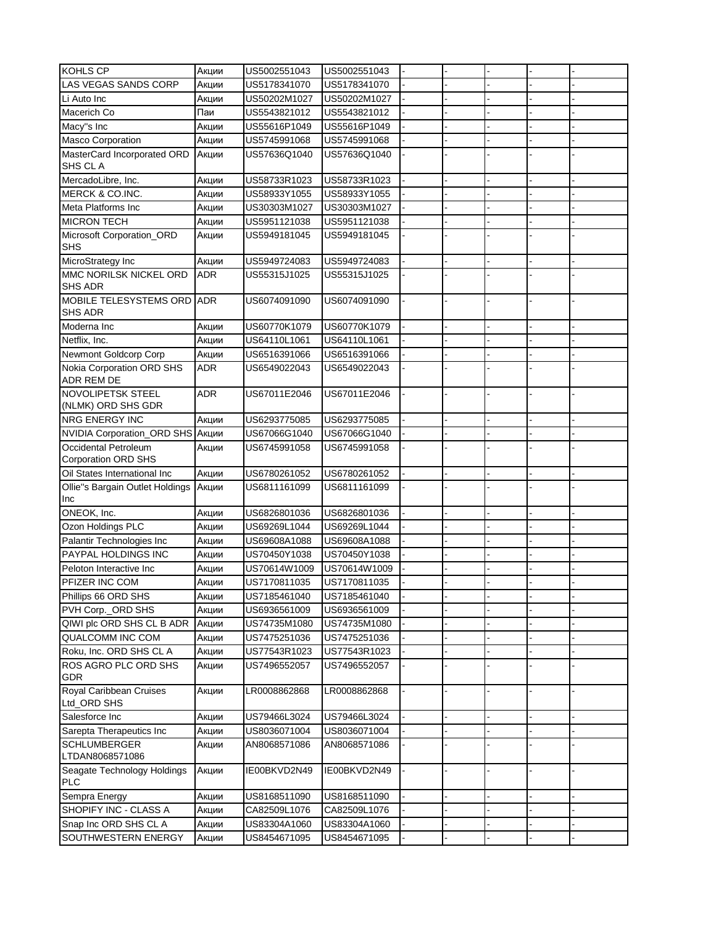| KOHLS CP                                     | Акции      | US5002551043 | US5002551043 |  |  |  |
|----------------------------------------------|------------|--------------|--------------|--|--|--|
| LAS VEGAS SANDS CORP                         | Акции      | US5178341070 | US5178341070 |  |  |  |
| Li Auto Inc                                  | Акции      | US50202M1027 | US50202M1027 |  |  |  |
| Macerich Co                                  | Паи        | US5543821012 | US5543821012 |  |  |  |
| Macy"s Inc                                   | Акции      | US55616P1049 | US55616P1049 |  |  |  |
| Masco Corporation                            | Акции      | US5745991068 | US5745991068 |  |  |  |
| MasterCard Incorporated ORD                  | Акции      | US57636Q1040 | US57636Q1040 |  |  |  |
| SHS CL A                                     |            |              |              |  |  |  |
| MercadoLibre, Inc.                           | Акции      | US58733R1023 | US58733R1023 |  |  |  |
| MERCK & CO.INC.                              | Акции      | US58933Y1055 | US58933Y1055 |  |  |  |
| Meta Platforms Inc                           | Акции      | US30303M1027 | US30303M1027 |  |  |  |
| <b>MICRON TECH</b>                           | Акции      | US5951121038 | US5951121038 |  |  |  |
| Microsoft Corporation_ORD                    | Акции      | US5949181045 | US5949181045 |  |  |  |
| <b>SHS</b>                                   |            |              |              |  |  |  |
| MicroStrategy Inc                            | Акции      | US5949724083 | US5949724083 |  |  |  |
| MMC NORILSK NICKEL ORD                       | ADR        | US55315J1025 | US55315J1025 |  |  |  |
| <b>SHS ADR</b>                               |            |              |              |  |  |  |
| MOBILE TELESYSTEMS ORD ADR<br><b>SHS ADR</b> |            | US6074091090 | US6074091090 |  |  |  |
| Moderna Inc                                  | Акции      | US60770K1079 | US60770K1079 |  |  |  |
| Netflix, Inc.                                | Акции      | US64110L1061 | US64110L1061 |  |  |  |
| Newmont Goldcorp Corp                        | Акции      | US6516391066 | US6516391066 |  |  |  |
| Nokia Corporation ORD SHS                    | <b>ADR</b> | US6549022043 | US6549022043 |  |  |  |
| ADR REM DE                                   |            |              |              |  |  |  |
| NOVOLIPETSK STEEL<br>(NLMK) ORD SHS GDR      | <b>ADR</b> | US67011E2046 | US67011E2046 |  |  |  |
| <b>NRG ENERGY INC</b>                        | Акции      | US6293775085 | US6293775085 |  |  |  |
| NVIDIA Corporation_ORD SHS Акции             |            | US67066G1040 | US67066G1040 |  |  |  |
| Occidental Petroleum                         | Акции      | US6745991058 | US6745991058 |  |  |  |
| <b>Corporation ORD SHS</b>                   |            |              |              |  |  |  |
| Oil States International Inc                 | Акции      | US6780261052 | US6780261052 |  |  |  |
| Ollie"s Bargain Outlet Holdings Акции        |            | US6811161099 | US6811161099 |  |  |  |
| Inc                                          |            |              |              |  |  |  |
| ONEOK, Inc.                                  | Акции      | US6826801036 | US6826801036 |  |  |  |
| Ozon Holdings PLC                            | Акции      | US69269L1044 | US69269L1044 |  |  |  |
| Palantir Technologies Inc                    | Акции      | US69608A1088 | US69608A1088 |  |  |  |
| PAYPAL HOLDINGS INC                          | Акции      | US70450Y1038 | US70450Y1038 |  |  |  |
| Peloton Interactive Inc                      | Акции      | US70614W1009 | US70614W1009 |  |  |  |
| PFIZER INC COM                               | Акции      | US7170811035 | US7170811035 |  |  |  |
| Phillips 66 ORD SHS                          | Акции      | US7185461040 | US7185461040 |  |  |  |
| PVH Corp._ORD SHS                            | Акции      | US6936561009 | US6936561009 |  |  |  |
| QIWI plc ORD SHS CL B ADR                    | Акции      | US74735M1080 | US74735M1080 |  |  |  |
| QUALCOMM INC COM                             | Акции      | US7475251036 | US7475251036 |  |  |  |
| Roku, Inc. ORD SHS CL A                      | Акции      | US77543R1023 | US77543R1023 |  |  |  |
| ROS AGRO PLC ORD SHS<br><b>GDR</b>           | Акции      | US7496552057 | US7496552057 |  |  |  |
| Royal Caribbean Cruises<br>Ltd_ORD SHS       | Акции      | LR0008862868 | LR0008862868 |  |  |  |
| Salesforce Inc                               | Акции      | US79466L3024 | US79466L3024 |  |  |  |
| Sarepta Therapeutics Inc                     | Акции      | US8036071004 | US8036071004 |  |  |  |
| <b>SCHLUMBERGER</b>                          | Акции      | AN8068571086 | AN8068571086 |  |  |  |
| LTDAN8068571086                              |            |              |              |  |  |  |
| Seagate Technology Holdings<br><b>PLC</b>    | Акции      | IE00BKVD2N49 | IE00BKVD2N49 |  |  |  |
| Sempra Energy                                | Акции      | US8168511090 | US8168511090 |  |  |  |
| SHOPIFY INC - CLASS A                        | Акции      | CA82509L1076 | CA82509L1076 |  |  |  |
| Snap Inc ORD SHS CL A                        | Акции      | US83304A1060 | US83304A1060 |  |  |  |
| SOUTHWESTERN ENERGY                          | Акции      | US8454671095 | US8454671095 |  |  |  |